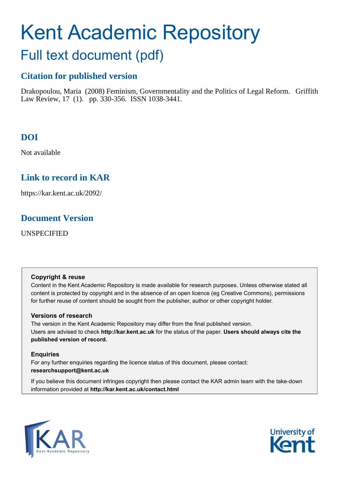# Kent Academic Repository

## Full text document (pdf)

## **Citation for published version**

Drakopoulou, Maria (2008) Feminism, Governmentality and the Politics of Legal Reform. Griffith Law Review, 17 (1). pp. 330-356. ISSN 1038-3441.

## **DOI**

Not available

## **Link to record in KAR**

https://kar.kent.ac.uk/2092/

## **Document Version**

UNSPECIFIED

#### **Copyright & reuse**

Content in the Kent Academic Repository is made available for research purposes. Unless otherwise stated all content is protected by copyright and in the absence of an open licence (eg Creative Commons), permissions for further reuse of content should be sought from the publisher, author or other copyright holder.

#### **Versions of research**

The version in the Kent Academic Repository may differ from the final published version. Users are advised to check **http://kar.kent.ac.uk** for the status of the paper. **Users should always cite the published version of record.**

#### **Enquiries**

For any further enquiries regarding the licence status of this document, please contact: **researchsupport@kent.ac.uk**

If you believe this document infringes copyright then please contact the KAR admin team with the take-down information provided at **http://kar.kent.ac.uk/contact.html**



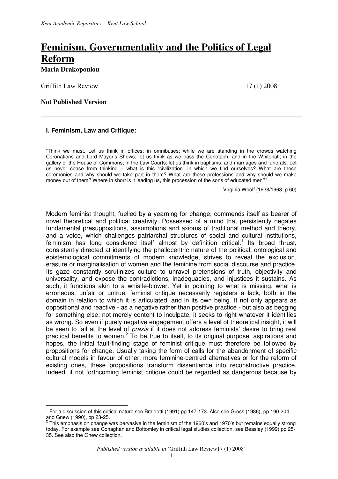## **Feminism, Governmentality and the Politics of Legal Reform Maria Drakopoulou**

Griffith Law Review 2008

 $\overline{a}$ 

#### **Not Published Version**

#### **I. Feminism, Law and Critique:**

"Think we must. Let us think in offices; in omnibuses; while we are standing in the crowds watching Coronations and Lord Mayor's Shows; let us think as we pass the Cenotaph; and in the Whitehall; in the gallery of the House of Commons; in the Law Courts; let us think in baptisms; and marriages and funerals. Let us never cease from thinking – what is this "civilization" in which we find ourselves? What are these ceremonies and why should we take part in them? What are these professions and why should we make money out of them? Where in short is it leading us, this procession of the sons of educated men?"

Virginia Woolf (1938/1963, p 60)

Modern feminist thought, fuelled by a yearning for change, commends itself as bearer of novel theoretical and political creativity. Possessed of a mind that persistently negates fundamental presuppositions, assumptions and axioms of traditional method and theory, and a voice, which challenges patriarchal structures of social and cultural institutions, feminism has long considered itself almost by definition critical.<sup>1</sup> Its broad thrust, consistently directed at identifying the phallocentric nature of the political, ontological and epistemological commitments of modern knowledge, strives to reveal the exclusion, erasure or marginalisation of women and the feminine from social discourse and practice. Its gaze constantly scrutinizes culture to unravel pretensions of truth, objectivity and universality, and expose the contradictions, inadequacies, and injustices it sustains. As such, it functions akin to a whistle-blower. Yet in pointing to what is missing, what is erroneous, unfair or untrue, feminist critique necessarily registers a lack, both in the domain in relation to which it is articulated, and in its own being. It not only appears as oppositional and reactive - as a negative rather than positive practice - but also as begging for something else; not merely content to inculpate, it seeks to right whatever it identifies as wrong. So even if purely negative engagement offers a level of theoretical insight, it will be seen to fail at the level of *praxis* if it does not address feminists' desire to bring real practical benefits to women.<sup>2</sup> To be true to itself, to its original purpose, aspirations and hopes, the initial fault-finding stage of feminist critique must therefore be followed by propositions for change. Usually taking the form of calls for the abandonment of specific cultural models in favour of other, more feminine-centred alternatives or for the reform of existing ones, these propositions transform dissentience into reconstructive practice. Indeed, if not forthcoming feminist critique could be regarded as dangerous because by

<sup>&</sup>lt;sup>1</sup> For a discussion of this critical nature see Braidotti (1991) pp 147-173. Also see Gross (1986), pp 190-204 and Gnew (1990), pp 23-25.

 $2$  This emphasis on change was pervasive in the feminism of the 1960's and 1970's but remains equally strong today. For example see Conaghan and Bottomley in critical legal studies collection, see Beasley (1999) pp 25- 35. See also the Gnew collection.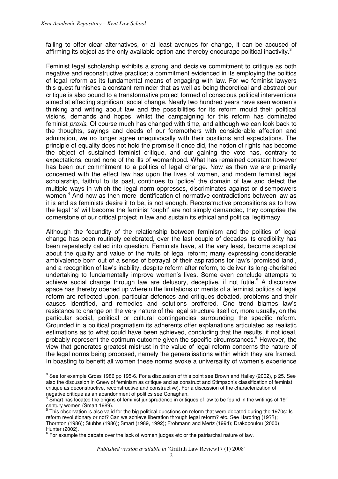failing to offer clear alternatives, or at least avenues for change, it can be accused of affirming its object as the only available option and thereby encourage political inactivity.<sup>3</sup>

Feminist legal scholarship exhibits a strong and decisive commitment to critique as both negative and reconstructive practice; a commitment evidenced in its employing the politics of legal reform as its fundamental means of engaging with law. For we feminist lawyers this quest furnishes a constant reminder that as well as being theoretical and abstract our critique is also bound to a transformative project formed of conscious political interventions aimed at effecting significant social change. Nearly two hundred years have seen women's thinking and writing about law and the possibilities for its reform mould their political visions, demands and hopes, whilst the campaigning for this reform has dominated feminist *praxis*. Of course much has changed with time, and although we can look back to the thoughts, sayings and deeds of our foremothers with considerable affection and admiration, we no longer agree unequivocally with their positions and expectations. The principle of equality does not hold the promise it once did, the notion of rights has become the object of sustained feminist critique, and our gaining the vote has, contrary to expectations, cured none of the ills of womanhood. What has remained constant however has been our commitment to a politics of legal change. Now as then we are primarily concerned with the effect law has upon the lives of women, and modern feminist legal scholarship, faithful to its past, continues to 'police' the domain of law and detect the multiple ways in which the legal norm oppresses, discriminates against or disempowers women.<sup>4</sup> And now as then mere identification of normative contradictions between law as it is and as feminists desire it to be, is not enough. Reconstructive propositions as to how the legal 'is' will become the feminist 'ought' are not simply demanded, they comprise the cornerstone of our critical project in law and sustain its ethical and political legitimacy.

Although the fecundity of the relationship between feminism and the politics of legal change has been routinely celebrated, over the last couple of decades its credibility has been repeatedly called into question. Feminists have, at the very least, become sceptical about the quality and value of the fruits of legal reform; many expressing considerable ambivalence born out of a sense of betrayal of their aspirations for law's 'promised land', and a recognition of law's inability, despite reform after reform, to deliver its long-cherished undertaking to fundamentally improve women's lives. Some even conclude attempts to achieve social change through law are delusory, deceptive, if not futile.<sup>5</sup> A discursive space has thereby opened up wherein the limitations or merits of a feminist politics of legal reform are reflected upon, particular defences and critiques debated, problems and their causes identified, and remedies and solutions proffered. One trend blames law's resistance to change on the very nature of the legal structure itself or, more usually, on the particular social, political or cultural contingencies surrounding the specific reform. Grounded in a political pragmatism its adherents offer explanations articulated as realistic estimations as to what could have been achieved, concluding that the results, if not ideal, probably represent the optimum outcome given the specific circumstances.<sup>6</sup> However, the view that generates greatest mistrust in the value of legal reform concerns the nature of the legal norms being proposed, namely the generalisations within which they are framed. In boasting to benefit all women these norms evoke a universality of women's experience

 $\overline{a}$  $^3$  See for example Gross 1986 pp 195-6. For a discussion of this point see Brown and Halley (2002), p 25. See also the discussion in Gnew of feminism as critique and as construct and Stimpson's classification of feminist critique as deconstructive, reconstructive and constructive). For a discussion of the characterization of negative critique as an abandonment of politics see Conaghan.<br><sup>4</sup> Smert has leested the erigins of forminist jurianrudence in eritig

Smart has located the origins of feminist jurisprudence in critiques of law to be found in the writings of 19<sup>th</sup>

century women (Smart 1989).<br><sup>5</sup> This observation is also valid for the big political questions on reform that were debated during the 1970s: Is reform revolutionary or not? Can we achieve liberation through legal reform? etc. See Hardring (19??); Thornton (1986); Stubbs (1986); Smart (1989, 1992); Frohmann and Mertz (1994); Drakopoulou (2000); Hunter (2002).

 $6$  For example the debate over the lack of women judges etc or the patriarchal nature of law.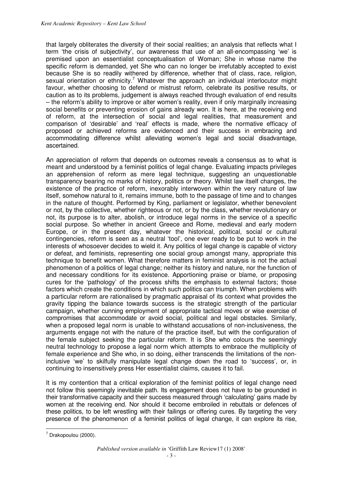that largely obliterates the diversity of their social realities; an analysis that reflects what I term 'the crisis of subjectivity', our awareness that use of an all-encompassing 'we' is premised upon an essentialist conceptualisation of Woman; She in whose name the specific reform is demanded, yet She who can no longer be irrefutably accepted to exist because She is so readily withered by difference, whether that of class, race, religion, sexual orientation or ethnicity.<sup>7</sup> Whatever the approach an individual interlocutor might favour, whether choosing to defend or mistrust reform, celebrate its positive results, or caution as to its problems, judgement is always reached through evaluation of end results – the reform's ability to improve or alter women's reality, even if only marginally increasing social benefits or preventing erosion of gains already won. It is here, at the receiving end of reform, at the intersection of social and legal realities, that measurement and comparison of 'desirable' and 'real' effects is made, where the normative efficacy of proposed or achieved reforms are evidenced and their success in embracing and accommodating difference whilst alleviating women's legal and social disadvantage, ascertained.

An appreciation of reform that depends on outcomes reveals a consensus as to what is meant and understood by a feminist politics of legal change. Evaluating impacts privileges an apprehension of reform as mere legal technique, suggesting an unquestionable transparency bearing no marks of history, politics or theory. Whilst law itself changes, the existence of the practice of reform, inexorably interwoven within the very nature of law itself, somehow natural to it, remains immune, both to the passage of time and to changes in the nature of thought. Performed by King, parliament or legislator, whether benevolent or not, by the collective, whether righteous or not, or by the class, whether revolutionary or not, its purpose is to alter, abolish, or introduce legal norms in the service of a specific social purpose. So whether in ancient Greece and Rome, medieval and early modern Europe, or in the present day, whatever the historical, political, social or cultural contingencies, reform is seen as a neutral 'tool', one ever ready to be put to work in the interests of whosoever decides to wield it. Any politics of legal change is capable of victory or defeat, and feminists, representing one social group amongst many, appropriate this technique to benefit women. What therefore matters in feminist analysis is not the actual phenomenon of a politics of legal change; neither its history and nature, nor the function of and necessary conditions for its existence. Apportioning praise or blame, or proposing cures for the 'pathology' of the process shifts the emphasis to external factors; those factors which create the conditions in which such politics can triumph. When problems with a particular reform are rationalised by pragmatic appraisal of its context what provides the gravity tipping the balance towards success is the strategic strength of the particular campaign, whether cunning employment of appropriate tactical moves or wise exercise of compromises that accommodate or avoid social, political and legal obstacles. Similarly, when a proposed legal norm is unable to withstand accusations of non-inclusiveness, the arguments engage not with the nature of the practice itself, but with the configuration of the female subject seeking the particular reform. It is She who colours the seemingly neutral technology to propose a legal norm which attempts to embrace the multiplicity of female experience and She who, in so doing, either transcends the limitations of the noninclusive 'we' to skilfully manipulate legal change down the road to 'success', or, in continuing to insensitively press Her essentialist claims, causes it to fail.

It is my contention that a critical exploration of the feminist politics of legal change need not follow this seemingly inevitable path. Its engagement does not have to be grounded in their transformative capacity and their success measured through 'calculating' gains made by women at the receiving end. Nor should it become embroiled in rebuttals or defences of these politics, to be left wrestling with their failings or offering cures. By targeting the very presence of the phenomenon of a feminist politics of legal change, it can explore its rise,

 $\overline{a}$  $7$  Drakopoulou (2000).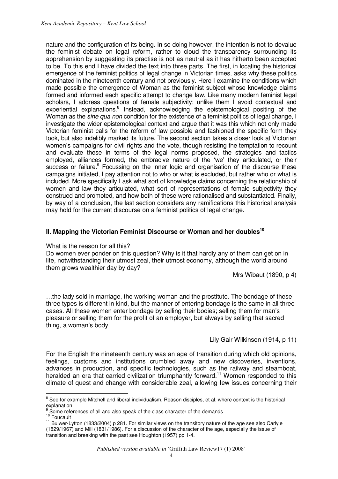nature and the configuration of its being. In so doing however, the intention is not to devalue the feminist debate on legal reform, rather to cloud the transparency surrounding its apprehension by suggesting its practise is not as neutral as it has hitherto been accepted to be. To this end I have divided the text into three parts. The first, in locating the historical emergence of the feminist politics of legal change in Victorian times, asks why these politics dominated in the nineteenth century and not previously. Here I examine the conditions which made possible the emergence of Woman as the feminist subject whose knowledge claims formed and informed each specific attempt to change law. Like many modern feminist legal scholars, I address questions of female subjectivity; unlike them I avoid contextual and experiential explanations.<sup>8</sup> Instead, acknowledging the epistemological positing of the Woman as the *sine qua non* condition for the existence of a feminist politics of legal change, I investigate the wider epistemological context and argue that it was this which not only made Victorian feminist calls for the reform of law possible and fashioned the specific form they took, but also indelibly marked its future. The second section takes a closer look at Victorian women's campaigns for civil rights and the vote, though resisting the temptation to recount and evaluate these in terms of the legal norms proposed, the strategies and tactics employed, alliances formed, the embracive nature of the 'we' they articulated, or their success or failure.<sup>9</sup> Focussing on the inner logic and organisation of the discourse these campaigns initiated, I pay attention not to who or what is excluded, but rather who or what is included. More specifically I ask what sort of knowledge claims concerning the relationship of women and law they articulated, what sort of representations of female subjectivity they construed and promoted, and how both of these were rationalised and substantiated. Finally, by way of a conclusion, the last section considers any ramifications this historical analysis may hold for the current discourse on a feminist politics of legal change.

#### **II. Mapping the Victorian Feminist Discourse or Woman and her doubles<sup>10</sup>**

#### What is the reason for all this?

Do women ever ponder on this question? Why is it that hardly any of them can get on in life, notwithstanding their utmost zeal, their utmost economy, although the world around them grows wealthier day by day?

Mrs Wibaut (1890, p 4)

…the lady sold in marriage, the working woman and the prostitute. The bondage of these three types is different in kind, but the manner of entering bondage is the same in all three cases. All these women enter bondage by selling their bodies; selling them for man's pleasure or selling them for the profit of an employer, but always by selling that sacred thing, a woman's body.

Lily Gair Wilkinson (1914, p 11)

For the English the nineteenth century was an age of transition during which old opinions, feelings, customs and institutions crumbled away and new discoveries, inventions, advances in production, and specific technologies, such as the railway and steamboat, heralded an era that carried civilization triumphantly forward.<sup>11</sup> Women responded to this climate of quest and change with considerable zeal, allowing few issues concerning their

<sup>8&</sup>lt;br>8 See for example Mitchell and liberal individualism, Reason disciples, et al. where context is the historical explanation

<sup>9</sup> Some references of all and also speak of the class character of the demands

<sup>&</sup>lt;sup>10</sup> Foucault

<sup>&</sup>lt;sup>11</sup> Bulwer-Lytton (1833/2004) p 281. For similar views on the transitory nature of the age see also Carlyle (1829/1967) and Mill (1831/1986). For a discussion of the character of the age, especially the issue of transition and breaking with the past see Houghton (1957) pp 1-4.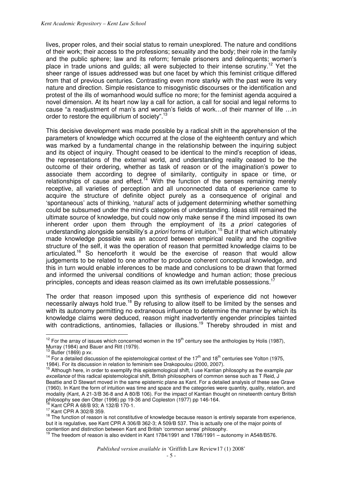lives, proper roles, and their social status to remain unexplored. The nature and conditions of their work; their access to the professions; sexuality and the body; their role in the family and the public sphere; law and its reform; female prisoners and delinquents; women's place in trade unions and quilds; all were subjected to their intense scrutiny.<sup>12</sup> Yet the sheer range of issues addressed was but one facet by which this feminist critique differed from that of previous centuries. Contrasting even more starkly with the past were its very nature and direction. Simple resistance to misogynistic discourses or the identification and protest of the ills of womanhood would suffice no more; for the feminist agenda acquired a novel dimension. At its heart now lay a call for action, a call for social and legal reforms to cause "a readjustment of man's and woman's fields of work…of their manner of life …in order to restore the equilibrium of society".<sup>13</sup>

This decisive development was made possible by a radical shift in the apprehension of the parameters of knowledge which occurred at the close of the eighteenth century and which was marked by a fundamental change in the relationship between the inquiring subject and its object of inquiry. Thought ceased to be identical to the mind's reception of ideas, the representations of the external world, and understanding reality ceased to be the outcome of their ordering, whether as task of reason or of the imagination's power to associate them according to degree of similarity, contiguity in space or time, or relationships of cause and effect.<sup> $14$ </sup> With the function of the senses remaining merely receptive, all varieties of perception and all unconnected data of experience came to acquire the structure of definite object purely as a consequence of original and 'spontaneous' acts of thinking, 'natural' acts of judgement determining whether something could be subsumed under the mind's categories of understanding. Ideas still remained the ultimate source of knowledge, but could now only make sense if the mind imposed its own inherent order upon them through the employment of its *a priori* categories of understanding alongside sensibility's *a priori* forms of intuition.<sup>15</sup> But if that which ultimately made knowledge possible was an accord between empirical reality and the cognitive structure of the self, it was the operation of reason that permitted knowledge claims to be articulated.<sup>16</sup> So henceforth it would be the exercise of reason that would allow judgements to be related to one another to produce coherent conceptual knowledge, and this in turn would enable inferences to be made and conclusions to be drawn that formed and informed the universal conditions of knowledge and human action; those precious principles, concepts and ideas reason claimed as its own irrefutable possessions.<sup>1</sup>

The order that reason imposed upon this synthesis of experience did not however necessarily always hold true.<sup>18</sup> By refusing to allow itself to be limited by the senses and with its autonomy permitting no extraneous influence to determine the manner by which its knowledge claims were deduced, reason might inadvertently engender principles tainted with contradictions, antinomies, fallacies or illusions.<sup>19</sup> Thereby shrouded in mist and

 $\overline{a}$  $12$  For the array of issues which concerned women in the 19<sup>th</sup> century see the anthologies by Holis (1987), Murray (1984) and Bauer and Ritt (1979).

<sup>13</sup> Butler (1869) p xv.

<sup>&</sup>lt;sup>14</sup> For a detailed discussion of the epistemological context of the 17<sup>th</sup> and 18<sup>th</sup> centuries see Yolton (1975, 1984). For its discussion in relation to feminism see Drakopoulou (2000, 2007).

<sup>15</sup> Although here, in order to exemplify this epistemological shift, I use Kantian philosophy as the example *par excellance* of this radical epistemological shift, British philosophers of common sense such as T Reid, J Beattie and D Stewart moved in the same epistemic plane as Kant. For a detailed analysis of these see Grave (1960). In Kant the form of intuition was time and space and the categories were quantity, quality, relation, and modality (Kant, A 21-3/B 36-8 and A 80/B 106). For the impact of Kantian thought on nineteenth century British philosophy see den Otter (1996) pp 19-36 and Copleston (1977) pp 146-164.  $^{16}$  Kant CPR A 68/B 93; A 132/B 170-1.

<sup>17</sup> Kant CPR A 302/B 359.

<sup>&</sup>lt;sup>18</sup> The function of reason is not constitutive of knowledge because reason is entirely separate from experience, but it is regulative, see Kant CPR A 306/B 362-3; A 509/B 537. This is actually one of the major points of contention and distinction between Kant and British 'common sense' philosophy.

<sup>&</sup>lt;sup>19</sup> The freedom of reason is also evident in Kant 1784/1991 and 1786/1991 – autonomy in A548/B576.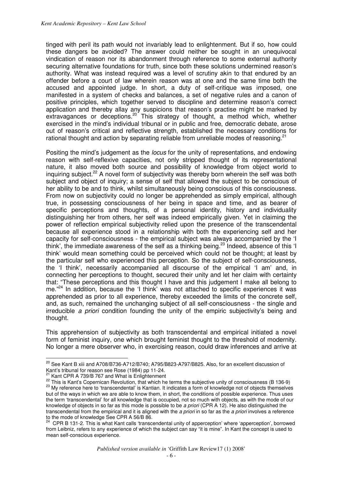tinged with peril its path would not invariably lead to enlightenment. But if so, how could these dangers be avoided? The answer could neither be sought in an unequivocal vindication of reason nor its abandonment through reference to some external authority securing alternative foundations for truth, since both these solutions undermined reason's authority. What was instead required was a level of scrutiny akin to that endured by an offender before a court of law wherein reason was at one and the same time both the accused and appointed judge. In short, a duty of self-critique was imposed, one manifested in a system of checks and balances, a set of negative rules and a canon of positive principles, which together served to discipline and determine reason's correct application and thereby allay any suspicions that reason's practise might be marked by extravagances or deceptions.<sup>20</sup> This strategy of thought, a method which, whether exercised in the mind's individual tribunal or in public and free, democratic debate, arose out of reason's critical and reflective strength, established the necessary conditions for rational thought and action by separating reliable from unreliable modes of reasoning.<sup>21</sup>

Positing the mind's judgement as the *locus* for the unity of representations, and endowing reason with self-reflexive capacities, not only stripped thought of its representational nature, it also moved both source and possibility of knowledge from object world to inquiring subject.<sup>22</sup> A novel form of subjectivity was thereby born wherein the self was both subject and object of inquiry; a sense of self that allowed the subject to be conscious of her ability to be and to think, whilst simultaneously being conscious of this consciousness. From now on subjectivity could no longer be apprehended as simply empirical, although true, in possessing consciousness of her being in space and time, and as bearer of specific perceptions and thoughts, of a personal identity, history and individuality distinguishing her from others, her self was indeed empirically given. Yet in claiming the power of reflection empirical subjectivity relied upon the presence of the transcendental because all experience stood in a relationship with both the experiencing self and her capacity for self-consciousness - the empirical subject was always accompanied by the 'I think', the immediate awareness of the self as a thinking being.<sup>23</sup> Indeed, absence of this 'I think' would mean something could be perceived which could not be thought; at least by the particular self who experienced this perception. So the subject of self-consciousness, the 'I think', necessarily accompanied all discourse of the empirical 'I am' and, in connecting her perceptions to thought, secured their unity and let her claim with certainty that: "These perceptions and this thought I have and this judgement I make all belong to me."<sup>24</sup> In addition, because the 'I think' was not attached to specific experiences it was apprehended as prior to all experience, thereby exceeded the limits of the concrete self, and, as such, remained the unchanging subject of all self-consciousness - the single and irreducible *a priori* condition founding the unity of the empiric subjectivity's being and thought.

This apprehension of subjectivity as both transcendental and empirical initiated a novel form of feminist inquiry, one which brought feminist thought to the threshold of modernity. No longer a mere observer who, in exercising reason, could draw inferences and arrive at

<sup>&</sup>lt;sup>20</sup> See Kant B xiii and A708/B736-A712/B740; A795/B823-A797/B825. Also, for an excellent discussion of Kant's tribunal for reason see Rose (1984) pp 11-24.

Kant CPR A 739/B 767 and What is Enlightenment

<sup>&</sup>lt;sup>22</sup> This is Kant's Copernican Revolution, that which he terms the subjective unity of consciousness (B 136-9) <sup>23</sup> Mv reference here to 'transcendental' is Kantian. It indicates a form of knowledge not of objects themselves but of the ways in which we are able to know them, in short, the conditions of possible experience. Thus uses the term 'transcendental' for all knowledge that is occupied, not so much with objects, as with the mode of our knowledge of objects in so far as this mode is possible to be *a priori* (CPR A 12). He also distinguished the transcendental from the empirical and it is aligned with the *a priori* in so far as the *a priori* involves a reference to the mode of knowledge See CPR A 56/B 86.<br><sup>24</sup> CPP P 101.0 TH

<sup>24</sup> CPR B 131-2. This is what Kant calls 'transcendental unity of apperception' where 'apperception', borrowed from Leibniz, refers to any experience of which the subject can say "it is mine". In Kant the concept is used to mean self-conscious experience.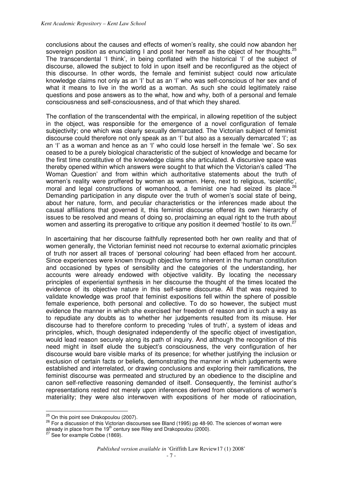conclusions about the causes and effects of women's reality, she could now abandon her sovereign position as enunciating I and posit her herself as the object of her thoughts.<sup>25</sup> The transcendental 'I think', in being conflated with the historical 'I' of the subject of discourse, allowed the subject to fold in upon itself and be reconfigured as the object of this discourse. In other words, the female and feminist subject could now articulate knowledge claims not only as an 'I' but as an 'I' who was self-conscious of her sex and of what it means to live in the world as a woman. As such she could legitimately raise questions and pose answers as to the what, how and why, both of a personal and female consciousness and self-consciousness, and of that which they shared.

The conflation of the transcendental with the empirical, in allowing repetition of the subject in the object, was responsible for the emergence of a novel configuration of female subjectivity; one which was clearly sexually demarcated. The Victorian subject of feminist discourse could therefore not only speak as an 'I' but also as a sexually demarcated 'I'; as an 'I' as a woman and hence as an 'I' who could lose herself in the female 'we'. So sex ceased to be a purely biological characteristic of the subject of knowledge and became for the first time constitutive of the knowledge claims she articulated. A discursive space was thereby opened within which answers were sought to that which the Victorian's called 'The Woman Question' and from within which authoritative statements about the truth of women's reality were proffered by women as women. Here, next to religious, 'scientific', moral and legal constructions of womanhood, a feminist one had seized its place.<sup>26</sup> Demanding participation in any dispute over the truth of women's social state of being, about her nature, form, and peculiar characteristics or the inferences made about the causal affiliations that governed it, this feminist discourse offered its own hierarchy of issues to be resolved and means of doing so, proclaiming an equal right to the truth about women and asserting its prerogative to critique any position it deemed 'hostile' to its own.<sup>27</sup>

In ascertaining that her discourse faithfully represented both her own reality and that of women generally, the Victorian feminist need not recourse to external axiomatic principles of truth nor assert all traces of 'personal colouring' had been effaced from her account. Since experiences were known through objective forms inherent in the human constitution and occasioned by types of sensibility and the categories of the understanding, her accounts were already endowed with objective validity. By locating the necessary principles of experiential synthesis in her discourse the thought of the times located the evidence of its objective nature in this self-same discourse. All that was required to validate knowledge was proof that feminist expositions fell within the sphere of possible female experience, both personal and collective. To do so however, the subject must evidence the manner in which she exercised her freedom of reason and in such a way as to repudiate any doubts as to whether her judgements resulted from its misuse. Her discourse had to therefore conform to preceding 'rules of truth', a system of ideas and principles, which, though designated independently of the specific object of investigation, would lead reason securely along its path of inquiry. And although the recognition of this need might in itself elude the subject's consciousness, the very configuration of her discourse would bare visible marks of its presence; for whether justifying the inclusion or exclusion of certain facts or beliefs, demonstrating the manner in which judgements were established and interrelated, or drawing conclusions and exploring their ramifications, the feminist discourse was permeated and structured by an obedience to the discipline and canon self-reflective reasoning demanded of itself. Consequently, the feminist author's representations rested not merely upon inferences derived from observations of women's materiality; they were also interwoven with expositions of her mode of ratiocination,

 $\frac{25}{10}$  On this point see Drakopoulou (2007).

<sup>26</sup> For a discussion of this Victorian discourses see Bland (1995) pp 48-90. The sciences of woman were already in place from the 19<sup>th</sup> century see Riley and Drakopoulou (2000).

See for example Cobbe (1869).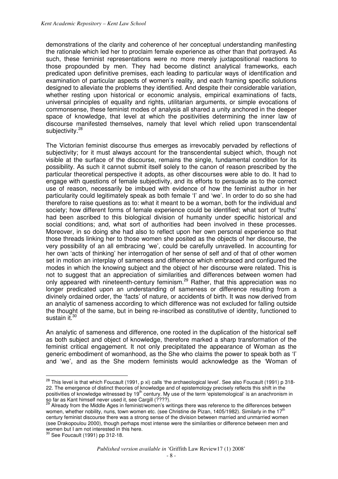demonstrations of the clarity and coherence of her conceptual understanding manifesting the rationale which led her to proclaim female experience as other than that portrayed. As such, these feminist representations were no more merely juxtapositional reactions to those propounded by men. They had become distinct analytical frameworks, each predicated upon definitive premises, each leading to particular ways of identification and examination of particular aspects of women's reality, and each framing specific solutions designed to alleviate the problems they identified. And despite their considerable variation, whether resting upon historical or economic analysis, empirical examinations of facts, universal principles of equality and rights, utilitarian arguments, or simple evocations of commonsense, these feminist modes of analysis all shared a unity anchored in the deeper space of knowledge, that level at which the positivities determining the inner law of discourse manifested themselves, namely that level which relied upon transcendental subjectivity.<sup>28</sup>

The Victorian feminist discourse thus emerges as irrevocably pervaded by reflections of subjectivity; for it must always account for the transcendental subject which, though not visible at the surface of the discourse, remains the single, fundamental condition for its possibility. As such it cannot submit itself solely to the canon of reason prescribed by the particular theoretical perspective it adopts, as other discourses were able to do. It had to engage with questions of female subjectivity, and its efforts to persuade as to the correct use of reason, necessarily be imbued with evidence of how the feminist author in her particularity could legitimately speak as both female 'I' and 'we'. In order to do so she had therefore to raise questions as to: what it meant to be a woman, both for the individual and society; how different forms of female experience could be identified; what sort of 'truths' had been ascribed to this biological division of humanity under specific historical and social conditions; and, what sort of authorities had been involved in these processes. Moreover, in so doing she had also to reflect upon her own personal experience so that those threads linking her to those women she posited as the objects of her discourse, the very possibility of an all embracing 'we', could be carefully unravelled. In accounting for her own 'acts of thinking' her interrogation of her sense of self and of that of other women set in motion an interplay of sameness and difference which embraced and configured the modes in which the knowing subject and the object of her discourse were related. This is not to suggest that an appreciation of similarities and differences between women had only appeared with nineteenth-century feminism.<sup>29</sup> Rather, that this appreciation was no longer predicated upon an understanding of sameness or difference resulting from a divinely ordained order, the 'facts' of nature, or accidents of birth. It was now derived from an analytic of sameness according to which difference was not excluded for falling outside the thought of the same, but in being re-inscribed as constitutive of identity, functioned to sustain it.<sup>30</sup>

An analytic of sameness and difference, one rooted in the duplication of the historical self as both subject and object of knowledge, therefore marked a sharp transformation of the feminist critical engagement. It not only precipitated the appearance of Woman as the generic embodiment of womanhood, as the She who claims the power to speak both as 'I' and 'we', and as the She modern feminists would acknowledge as the 'Woman of

 $^{28}$  This level is that which Foucault (1991, p xi) calls 'the archaeological level'. See also Foucault (1991) p 318-22. The emergence of distinct theories of knowledge and of epistemology precisely reflects this shift in the positivities of knowledge witnessed by 19<sup>th</sup> century. My use of the term 'epistemological' is an anachronism in so far as Kant himself never used it, see Cargill (????).

<sup>&</sup>lt;sup>29</sup> Already from the Middle Ages in feminist/women's writings there was reference to the differences between women, whether nobility, nuns, town women etc. (see Christine de Pizan, 1405/1982). Similarly in the 17<sup>th</sup> century feminist discourse there was a strong sense of the division between married and unmarried women (see Drakopoulou 2000), though perhaps most intense were the similarities or difference between men and women but I am not interested in this here.

 $30$  See Foucault (1991) pp 312-18.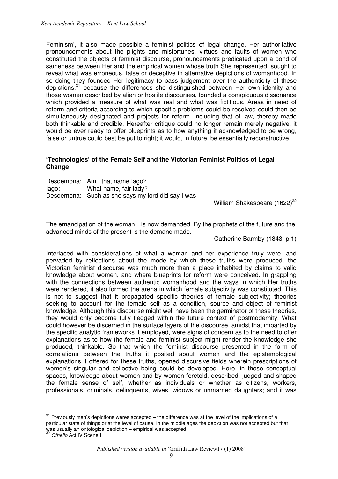Feminism', it also made possible a feminist politics of legal change. Her authoritative pronouncements about the plights and misfortunes, virtues and faults of women who constituted the objects of feminist discourse, pronouncements predicated upon a bond of sameness between Her and the empirical women whose truth She represented, sought to reveal what was erroneous, false or deceptive in alternative depictions of womanhood. In so doing they founded Her legitimacy to pass judgement over the authenticity of these depictions,<sup>31</sup> because the differences she distinguished between Her own identity and those women described by alien or hostile discourses, founded a conspicuous dissonance which provided a measure of what was real and what was fictitious. Areas in need of reform and criteria according to which specific problems could be resolved could then be simultaneously designated and projects for reform, including that of law, thereby made both thinkable and credible. Hereafter critique could no longer remain merely negative, it would be ever ready to offer blueprints as to how anything it acknowledged to be wrong, false or untrue could best be put to right; it would, in future, be essentially reconstructive.

#### **'Technologies' of the Female Self and the Victorian Feminist Politics of Legal Change**

|       | Desdemona: Am I that name lago?                   |
|-------|---------------------------------------------------|
| lago: | What name, fair lady?                             |
|       | Desdemona: Such as she says my lord did say I was |

William Shakespeare  $(1622)^{32}$ 

The emancipation of the woman…is now demanded. By the prophets of the future and the advanced minds of the present is the demand made.

Catherine Barmby (1843, p 1)

Interlaced with considerations of what a woman and her experience truly were, and pervaded by reflections about the mode by which these truths were produced, the Victorian feminist discourse was much more than a place inhabited by claims to valid knowledge about women, and where blueprints for reform were conceived. In grappling with the connections between authentic womanhood and the ways in which Her truths were rendered, it also formed the arena in which female subjectivity was constituted. This is not to suggest that it propagated specific theories of female subjectivity; theories seeking to account for the female self as a condition, source and object of feminist knowledge. Although this discourse might well have been the germinator of these theories, they would only become fully fledged within the future context of postmodernity. What could however be discerned in the surface layers of the discourse, amidst that imparted by the specific analytic frameworks it employed, were signs of concern as to the need to offer explanations as to how the female and feminist subject might render the knowledge she produced, thinkable. So that which the feminist discourse presented in the form of correlations between the truths it posited about women and the epistemological explanations it offered for these truths, opened discursive fields wherein prescriptions of women's singular and collective being could be developed. Here, in these conceptual spaces, knowledge about women and by women foretold, described, judged and shaped the female sense of self, whether as individuals or whether as citizens, workers, professionals, criminals, delinquents, wives, widows or unmarried daughters; and it was

 $31$  Previously men's depictions weres accepted – the difference was at the level of the implications of a particular state of things or at the level of cause. In the middle ages the depiction was not accepted but that was usually an ontological depiction – empirical was accepted

<sup>32</sup> *Othello* Act IV Scene II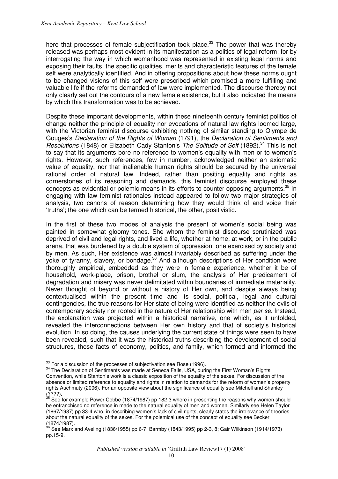here that processes of female subjectification took place.<sup>33</sup> The power that was thereby released was perhaps most evident in its manifestation as a politics of legal reform; for by interrogating the way in which womanhood was represented in existing legal norms and exposing their faults, the specific qualities, merits and characteristic features of the female self were analytically identified. And in offering propositions about how these norms ought to be changed visions of this self were prescribed which promised a more fulfilling and valuable life if the reforms demanded of law were implemented. The discourse thereby not only clearly set out the contours of a new female existence, but it also indicated the means by which this transformation was to be achieved.

Despite these important developments, within these nineteenth century feminist politics of change neither the principle of equality nor evocations of natural law rights loomed large, with the Victorian feminist discourse exhibiting nothing of similar standing to Olympe de Gouges's *Declaration of the Rights of Woman* (1791), the *Declaration of Sentiments and Resolutions* (1848) or Elizabeth Cady Stanton's *The Solitude of Self* (1892).<sup>34</sup> This is not to say that its arguments bore no reference to women's equality with men or to women's rights. However, such references, few in number, acknowledged neither an axiomatic value of equality, nor that inalienable human rights should be secured by the universal rational order of natural law. Indeed, rather than positing equality and rights as cornerstones of its reasoning and demands, this feminist discourse employed these concepts as evidential or polemic means in its efforts to counter opposing arguments.<sup>35</sup> In engaging with law feminist rationales instead appeared to follow two major strategies of analysis, two canons of reason determining how they would think of and voice their 'truths'; the one which can be termed historical, the other, positivistic.

In the first of these two modes of analysis the present of women's social being was painted in somewhat gloomy tones. She whom the feminist discourse scrutinized was deprived of civil and legal rights, and lived a life, whether at home, at work, or in the public arena, that was burdened by a double system of oppression, one exercised by society and by men. As such, Her existence was almost invariably described as suffering under the yoke of tyranny, slavery, or bondage.<sup>36</sup> And although descriptions of Her condition were thoroughly empirical, embedded as they were in female experience, whether it be of household, work-place, prison, brothel or slum, the analysis of Her predicament of degradation and misery was never delimitated within boundaries of immediate materiality. Never thought of beyond or without a history of Her own, and despite always being contextualised within the present time and its social, political, legal and cultural contingencies, the true reasons for Her state of being were identified as neither the evils of contemporary society nor rooted in the nature of Her relationship with men *per se*. Instead, the explanation was projected within a historical narrative, one which, as it unfolded, revealed the interconnections between Her own history and that of society's historical evolution. In so doing, the causes underlying the current state of things were seen to have been revealed, such that it was the historical truths describing the development of social structures, those facts of economy, politics, and family, which formed and informed the

 $\overline{a}$  $33$  For a discussion of the processes of subjectivation see Rose (1996).

<sup>&</sup>lt;sup>34</sup> The Declaration of Sentiments was made at Seneca Falls, USA, during the First Woman's Rights Convention, while Stanton's work is a classic exposition of the equality of the sexes. For discussion of the absence or limited reference to equality and rights in relation to demands for the reform of women's property rights Auchmuty (2006). For an opposite view about the significance of equality see Mitchell and Shanley (????).

 $35$  See for example Power Cobbe (1874/1987) pp 182-3 where in presenting the reasons why women should be enfranchised no reference in made to the natural equality of men and women. Similarly see Helen Taylor (1867/1987) pp 33-4 who, in describing women's lack of civil rights, clearly states the irrelevance of theories about the natural equality of the sexes. For the polemical use of the concept of equality see Becker  $(1874/1987)$ .

<sup>36</sup> See Marx and Aveling (1836/1955) pp 6-7; Barmby (1843/1995) pp 2-3, 8; Gair Wilkinson (1914/1973) pp.15-9.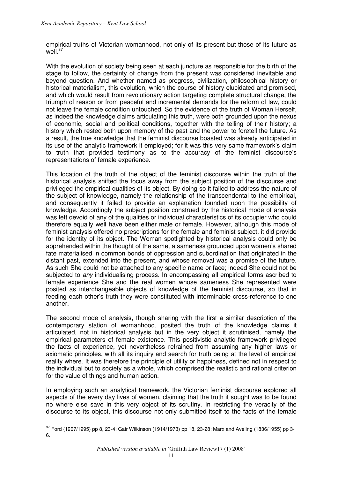empirical truths of Victorian womanhood, not only of its present but those of its future as well $37$ 

With the evolution of society being seen at each juncture as responsible for the birth of the stage to follow, the certainty of change from the present was considered inevitable and beyond question. And whether named as progress, civilization, philosophical history or historical materialism, this evolution, which the course of history elucidated and promised, and which would result from revolutionary action targeting complete structural change, the triumph of reason or from peaceful and incremental demands for the reform of law, could not leave the female condition untouched. So the evidence of the truth of Woman Herself, as indeed the knowledge claims articulating this truth, were both grounded upon the nexus of economic, social and political conditions, together with the telling of their history; a history which rested both upon memory of the past and the power to foretell the future. As a result, the true knowledge that the feminist discourse boasted was already anticipated in its use of the analytic framework it employed; for it was this very same framework's claim to truth that provided testimony as to the accuracy of the feminist discourse's representations of female experience.

This location of the truth of the object of the feminist discourse within the truth of the historical analysis shifted the focus away from the subject position of the discourse and privileged the empirical qualities of its object. By doing so it failed to address the nature of the subject of knowledge, namely the relationship of the transcendental to the empirical, and consequently it failed to provide an explanation founded upon the possibility of knowledge. Accordingly the subject position construed by the historical mode of analysis was left devoid of any of the qualities or individual characteristics of its occupier who could therefore equally well have been either male or female. However, although this mode of feminist analysis offered no prescriptions for the female and feminist subject, it did provide for the identity of its object. The Woman spotlighted by historical analysis could only be apprehended within the thought of the same, a sameness grounded upon women's shared fate materialised in common bonds of oppression and subordination that originated in the distant past, extended into the present, and whose removal was a promise of the future. As such She could not be attached to any specific name or face; indeed She could not be subjected to *any* individualising process. In encompassing all empirical forms ascribed to female experience She and the real women whose sameness She represented were posited as interchangeable objects of knowledge of the feminist discourse, so that in feeding each other's truth they were constituted with interminable cross-reference to one another.

The second mode of analysis, though sharing with the first a similar description of the contemporary station of womanhood, posited the truth of the knowledge claims it articulated, not in historical analysis but in the very object it scrutinised, namely the empirical parameters of female existence. This positivistic analytic framework privileged the facts of experience, yet nevertheless refrained from assuming any higher laws or axiomatic principles, with all its inquiry and search for truth being at the level of empirical reality where. It was therefore the principle of utility or happiness, defined not in respect to the individual but to society as a whole, which comprised the realistic and rational criterion for the value of things and human action.

In employing such an analytical framework, the Victorian feminist discourse explored all aspects of the every day lives of women, claiming that the truth it sought was to be found no where else save in this very object of its scrutiny. In restricting the veracity of the discourse to its object, this discourse not only submitted itself to the facts of the female

  $^{37}$  Ford (1907/1995) pp 8, 23-4; Gair Wilkinson (1914/1973) pp 18, 23-28; Marx and Aveling (1836/1955) pp 3-6.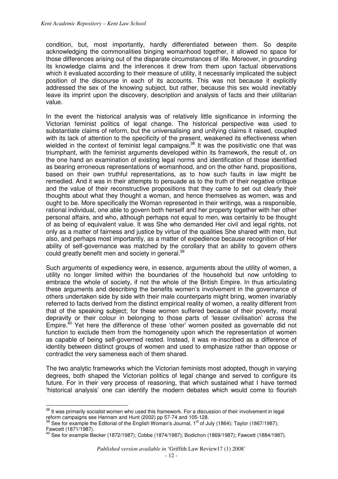condition, but, most importantly, hardly differentiated between them. So despite acknowledging the commonalities binging womanhood together, it allowed no space for those differences arising out of the disparate circumstances of life. Moreover, in grounding its knowledge claims and the inferences it drew from them upon factual observations which it evaluated according to their measure of utility, it necessarily implicated the subject position of the discourse in each of its accounts. This was not because it explicitly addressed the sex of the knowing subject, but rather, because this sex would inevitably leave its imprint upon the discovery, description and analysis of facts and their utilitarian value.

In the event the historical analysis was of relatively little significance in informing the Victorian feminist politics of legal change. The historical perspective was used to substantiate claims of reform, but the universalising and unifying claims it raised, coupled with its lack of attention to the specificity of the present, weakened its effectiveness when wielded in the context of feminist legal campaigns.<sup>38</sup> It was the positivistic one that was triumphant, with the feminist arguments developed within its framework, the result of, on the one hand an examination of existing legal norms and identification of those identified as bearing erroneous representations of womanhood, and on the other hand, propositions, based on their own truthful representations, as to how such faults in law might be remedied. And it was in their attempts to persuade as to the truth of their negative critique and the value of their reconstructive propositions that they came to set out clearly their thoughts about what they thought a woman, and hence themselves as women, was and ought to be. More specifically the Woman represented in their writings, was a responsible, rational individual, one able to govern both herself and her property together with her other personal affairs, and who, although perhaps not equal to men, was certainly to be thought of as being of equivalent value. It was She who demanded Her civil and legal rights, not only as a matter of fairness and justice by virtue of the qualities She shared with men, but also, and perhaps most importantly, as a matter of expedience because recognition of Her ability of self-governance was matched by the corollary that an ability to govern others could greatly benefit men and society in general.<sup>39</sup>

Such arguments of expediency were, in essence, arguments about the utility of women, a utility no longer limited within the boundaries of the household but now unfolding to embrace the whole of society, if not the whole of the British Empire. In thus articulating these arguments and describing the benefits women's involvement in the governance of others undertaken side by side with their male counterparts might bring, women invariably referred to facts derived from the distinct empirical reality of women, a reality different from that of the speaking subject; for these women suffered because of their poverty, moral depravity or their colour in belonging to those parts of 'lesser civilisation' across the Empire. $40$  Yet here the difference of these 'other' women posited as governable did not function to exclude them from the homogeneity upon which the representation of women as capable of being self-governed rested. Instead, it was re-inscribed as a difference of identity between distinct groups of women and used to emphasize rather than oppose or contradict the very sameness each of them shared.

The two analytic frameworks which the Victorian feminists most adopted, though in varying degrees, both shaped the Victorian politics of legal change and served to configure its future. For in their very process of reasoning, that which sustained what I have termed 'historical analysis' one can identify the modern debates which would come to flourish

<sup>&</sup>lt;sup>38</sup> It was primarily socialist women who used this framework. For a discussion of their involvement in legal reform campaigns see Hannam and Hunt (2002) pp 57-74 and 105-128.

<sup>&</sup>lt;sup>39</sup> See for example the Editorial of the English Woman's Journal, 1<sup>st</sup> of July (1864); Taylor (1867/1987); Fawcett (1871/1987).

 $^{40}$  See for example Becker (1872/1987); Cobbe (1874/1987); Bodichon (1869/1987); Fawcett (1884/1987).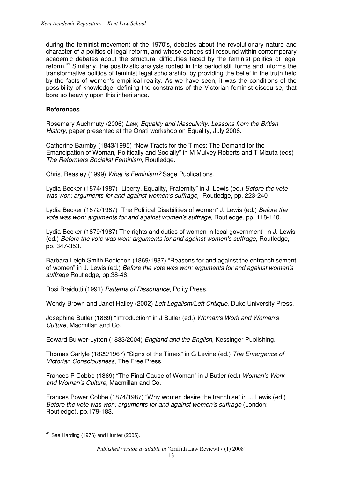during the feminist movement of the 1970's, debates about the revolutionary nature and character of a politics of legal reform, and whose echoes still resound within contemporary academic debates about the structural difficulties faced by the feminist politics of legal reform.<sup>41</sup> Similarly, the positivistic analysis rooted in this period still forms and informs the transformative politics of feminist legal scholarship, by providing the belief in the truth held by the facts of women's empirical reality. As we have seen, it was the conditions of the possibility of knowledge, defining the constraints of the Victorian feminist discourse, that bore so heavily upon this inheritance.

#### **References**

Rosemary Auchmuty (2006) *Law, Equality and Masculinity: Lessons from the British History*, paper presented at the Onati workshop on Equality, July 2006.

Catherine Barmby (1843/1995) "New Tracts for the Times: The Demand for the Emancipation of Woman, Politically and Socially" in M Mulvey Roberts and T Mizuta (eds) *The Reformers Socialist Feminism*, Routledge.

Chris, Beasley (1999) *What is Feminism?* Sage Publications.

Lydia Becker (1874/1987) "Liberty, Equality, Fraternity" in J. Lewis (ed.) *Before the vote was won: arguments for and against women's suffrage,* Routledge, pp. 223-240

Lydia Becker (1872/1987) "The Political Disabilities of women" J. Lewis (ed.) *Before the vote was won: arguments for and against women's suffrage,* Routledge, pp. 118-140.

Lydia Becker (1879/1987) The rights and duties of women in local government" in J. Lewis (ed.) *Before the vote was won: arguments for and against women's suffrage,* Routledge, pp. 347-353.

Barbara Leigh Smith Bodichon (1869/1987) "Reasons for and against the enfranchisement of women" in J. Lewis (ed.) *Before the vote was won: arguments for and against women's suffrage* Routledge, pp.38-46.

Rosi Braidotti (1991) *Patterns of Dissonance*, Polity Press.

Wendy Brown and Janet Halley (2002) *Left Legalism/Left Critique*, Duke University Press.

Josephine Butler (1869) "Introduction" in J Butler (ed.) *Woman's Work and Woman's Culture*, Macmillan and Co.

Edward Bulwer-Lytton (1833/2004) *England and the English*, Kessinger Publishing.

Thomas Carlyle (1829/1967) "Signs of the Times" in G Levine (ed.) *The Emergence of Victorian Consciousness*, The Free Press.

Frances P Cobbe (1869) "The Final Cause of Woman" in J Butler (ed.) *Woman's Work and Woman's Culture*, Macmillan and Co.

Frances Power Cobbe (1874/1987) "Why women desire the franchise" in J. Lewis (ed.) *Before the vote was won: arguments for and against women's suffrage* (London: Routledge), pp.179-183.

 $\overline{a}$ <sup>41</sup> See Harding (1976) and Hunter (2005).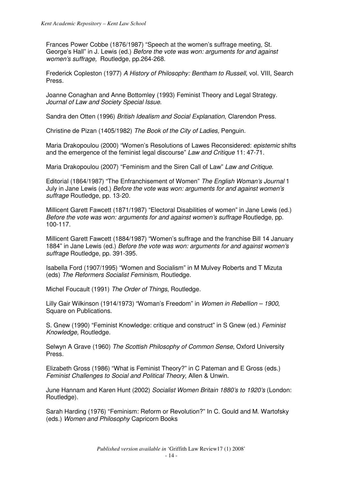Frances Power Cobbe (1876/1987) "Speech at the women's suffrage meeting, St. George's Hall" in J. Lewis (ed.) *Before the vote was won: arguments for and against women's suffrage,* Routledge, pp.264-268.

Frederick Copleston (1977) *A History of Philosophy: Bentham to Russell*, vol. VIII, Search Press.

Joanne Conaghan and Anne Bottomley (1993) Feminist Theory and Legal Strategy. *Journal of Law and Society Special Issue*.

Sandra den Otten (1996) *British Idealism and Social Explanation*, Clarendon Press.

Christine de Pizan (1405/1982) *The Book of the City of Ladies,* Penguin.

Maria Drakopoulou (2000) "Women's Resolutions of Lawes Reconsidered: *epistemic* shifts and the emergence of the feminist legal discourse" *Law and Critique* 11: 47-71.

Maria Drakopoulou (2007) "Feminism and the Siren Call of Law" *Law and Critique*.

Editorial (1864/1987) "The Enfranchisement of Women" *The English Woman's Journal* 1 July in Jane Lewis (ed.) *Before the vote was won: arguments for and against women's suffrage* Routledge, pp. 13-20.

Millicent Garett Fawcett (1871/1987) "Electoral Disabilities of women" in Jane Lewis (ed.) *Before the vote was won: arguments for and against women's suffrage* Routledge, pp. 100-117.

Millicent Garett Fawcett (1884/1987) "Women's suffrage and the franchise Bill 14 January 1884" in Jane Lewis (ed.) *Before the vote was won: arguments for and against women's suffrage* Routledge, pp. 391-395.

Isabella Ford (1907/1995) "Women and Socialism" in M Mulvey Roberts and T Mizuta (eds) *The Reformers Socialist Feminism*, Routledge.

Michel Foucault (1991) *The Order of Things*, Routledge.

Lilly Gair Wilkinson (1914/1973) "Woman's Freedom" in *Women in Rebellion – 1900*, Square on Publications.

S. Gnew (1990) "Feminist Knowledge: critique and construct" in S Gnew (ed.) *Feminist Knowledge,* Routledge.

Selwyn A Grave (1960) *The Scottish Philosophy of Common Sense*, Oxford University Press.

Elizabeth Gross (1986) "What is Feminist Theory?" in C Pateman and E Gross (eds.) *Feminist Challenges to Social and Political Theory*, Allen & Unwin.

June Hannam and Karen Hunt (2002) *Socialist Women Britain 1880's to 1920's* (London: Routledge).

Sarah Harding (1976) "Feminism: Reform or Revolution?" In C. Gould and M. Wartofsky (eds.) *Women and Philosophy* Capricorn Books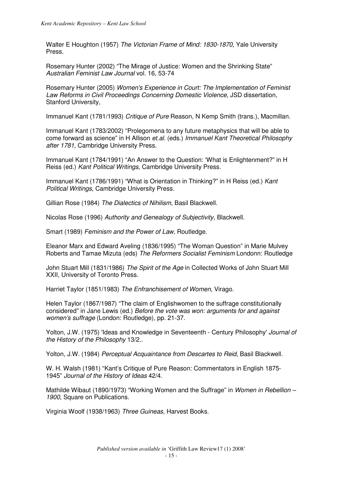Walter E Houghton (1957) *The Victorian Frame of Mind: 1830-1870,* Yale University Press.

Rosemary Hunter (2002) "The Mirage of Justice: Women and the Shrinking State" *Australian Feminist Law Journal* vol. 16, 53-74

Rosemary Hunter (2005) *Women's Experience in Court: The Implementation of Feminist Law Reforms in Civil Proceedings Concerning Domestic Violence*, JSD dissertation, Stanford University,

Immanuel Kant (1781/1993) *Critique of Pure* Reason, N Kemp Smith (trans.), Macmillan.

Immanuel Kant (1783/2002) "Prolegomena to any future metaphysics that will be able to come forward as science" in H Allison *et.al.* (eds.) *Immanuel Kant Theoretical Philosophy after 1781*, Cambridge University Press.

Immanuel Kant (1784/1991) "An Answer to the Question: 'What is Enlightenment?" in H Reiss (ed.) *Kant Political Writings*, Cambridge University Press.

Immanuel Kant (1786/1991) "What is Orientation in Thinking?" in H Reiss (ed.) *Kant Political Writings*, Cambridge University Press.

Gillian Rose (1984) *The Dialectics of Nihilism*, Basil Blackwell.

Nicolas Rose (1996) *Authority and Genealogy of Subjectivity,* Blackwell.

Smart (1989) *Feminism and the Power of Law,* Routledge.

Eleanor Marx and Edward Aveling (1836/1995) "The Woman Question" in Marie Mulvey Roberts and Tamae Mizuta (eds) *The Reformers Socialist Feminism* Londonn: Routledge

John Stuart Mill (1831/1986) *The Spirit of the Age* in Collected Works of John Stuart Mill XXII, University of Toronto Press.

Harriet Taylor (1851/1983) *The Enfranchisement of Women*, Virago.

Helen Taylor (1867/1987) "The claim of Englishwomen to the suffrage constitutionally considered" in Jane Lewis (ed.) *Before the vote was won: arguments for and against women's suffrage* (London: Routledge), pp. 21-37.

Yolton, J.W. (1975) 'Ideas and Knowledge in Seventeenth - Century Philosophy' *Journal of the History of the Philosophy* 13/2..

Yolton, J.W. (1984) *Perceptual Acquaintance from Descartes to Reid*, Basil Blackwell.

W. H. Walsh (1981) "Kant's Critique of Pure Reason: Commentators in English 1875- 1945" *Journal of the History of Ideas* 42/4.

Mathilde Wibaut (1890/1973) "Working Women and the Suffrage" in *Women in Rebellion –*  1900. Square on Publications.

Virginia Woolf (1938/1963) *Three Guineas*, Harvest Books.